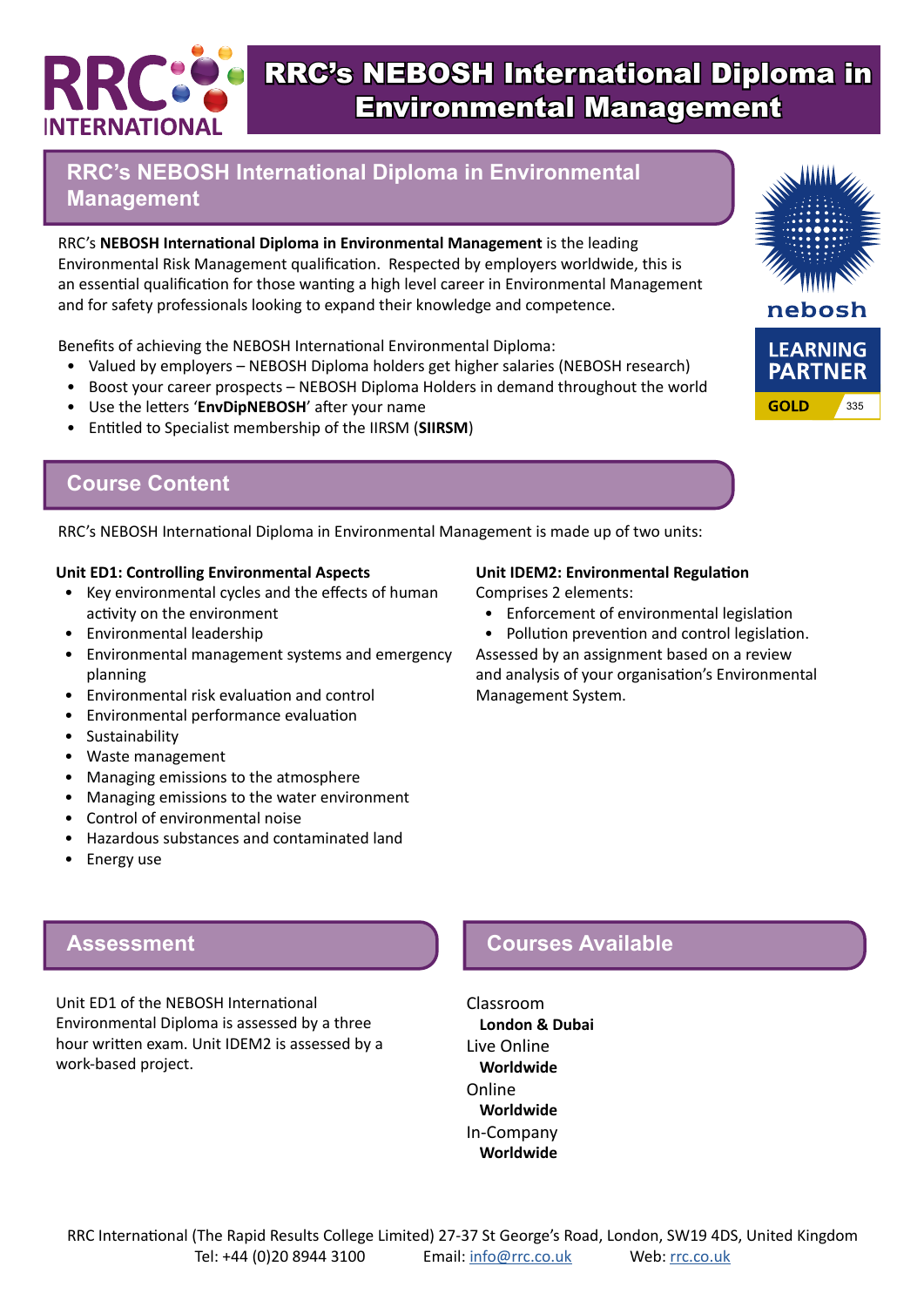# *FERNATION*

# RRC's NEBOSH International Diploma in Environmental Management

#### **RRC's NEBOSH International Diploma in Environmental Management**

RRC's **NEBOSH International Diploma in Environmental Management** is the leading Environmental Risk Management qualification. Respected by employers worldwide, this is an essential qualification for those wanting a high level career in Environmental Management and for safety professionals looking to expand their knowledge and competence.

Benefits of achieving the NEBOSH International Environmental Diploma:

- Valued by employers NEBOSH Diploma holders get higher salaries (NEBOSH research)
- Boost your career prospects NEBOSH Diploma Holders in demand throughout the world
- Use the letters '**EnvDipNEBOSH**' after your name
- Entitled to Specialist membership of the IIRSM (**SIIRSM**)



RRC's NEBOSH International Diploma in Environmental Management is made up of two units:

#### **Unit ED1: Controlling Environmental Aspects**

- Key environmental cycles and the effects of human activity on the environment
- Environmental leadership
- Environmental management systems and emergency planning
- Environmental risk evaluation and control
- Environmental performance evaluation
- Sustainability
- Waste management
- Managing emissions to the atmosphere
- Managing emissions to the water environment
- Control of environmental noise
- Hazardous substances and contaminated land
- Energy use

#### **Unit IDEM2: Environmental Regulation**

Comprises 2 elements:

- Enforcement of environmental legislation
- Pollution prevention and control legislation.

Assessed by an assignment based on a review and analysis of your organisation's Environmental Management System.

#### **Assessment**

Unit ED1 of the NEBOSH International Environmental Diploma is assessed by a three hour written exam. Unit IDEM2 is assessed by a work-based project.

## **Courses Available**

Classroom **London & Dubai** Live Online **Worldwide** Online **Worldwide** In-Company **Worldwide**

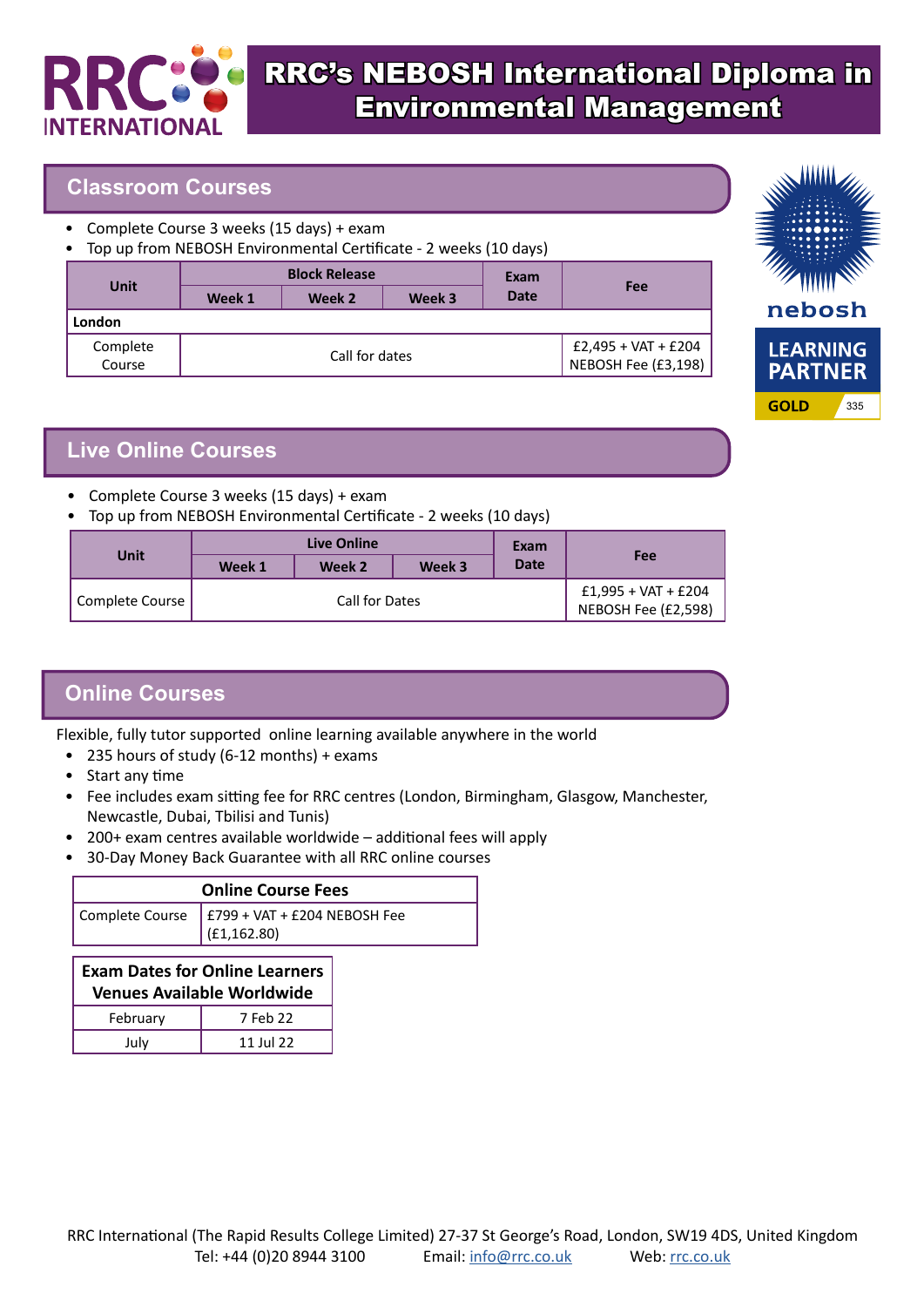

# RRC's NEBOSH International Diploma in Environmental Management

#### **Classroom Courses**

- Complete Course 3 weeks (15 days) + exam
- Top up from NEBOSH Environmental Certificate 2 weeks (10 days)

| <b>Unit</b>        | <b>Block Release</b> |        |        | Exam                                         |     |
|--------------------|----------------------|--------|--------|----------------------------------------------|-----|
|                    | Week 1               | Week 2 | Week 3 | <b>Date</b>                                  | Fee |
| London             |                      |        |        |                                              |     |
| Complete<br>Course | Call for dates       |        |        | $£2,495 + VAT + £204$<br>NEBOSH Fee (£3,198) |     |



## **Live Online Courses**

- Complete Course 3 weeks (15 days) + exam
- Top up from NEBOSH Environmental Certificate 2 weeks (10 days)

| Unit            | Live Online    |        |        | Exam                                         |     |
|-----------------|----------------|--------|--------|----------------------------------------------|-----|
|                 | Week 1         | Week 2 | Week 3 | <b>Date</b>                                  | Fee |
| Complete Course | Call for Dates |        |        | $£1,995 + VAT + £204$<br>NEBOSH Fee (£2,598) |     |

## **Online Courses**

Flexible, fully tutor supported online learning available anywhere in the world

- 235 hours of study (6-12 months) + exams
- Start any time
- Fee includes exam sitting fee for RRC centres (London, Birmingham, Glasgow, Manchester, Newcastle, Dubai, Tbilisi and Tunis)
- 200+ exam centres available worldwide additional fees will apply
- 30-Day Money Back Guarantee with all RRC online courses

| <b>Online Course Fees</b> |                                                                  |  |  |
|---------------------------|------------------------------------------------------------------|--|--|
|                           | Complete Course $ $ £799 + VAT + £204 NEBOSH Fee<br>(E1, 162.80) |  |  |

#### **Exam Dates for Online Learners Venues Available Worldwide** February 7 Feb 22 July 11 Jul 22